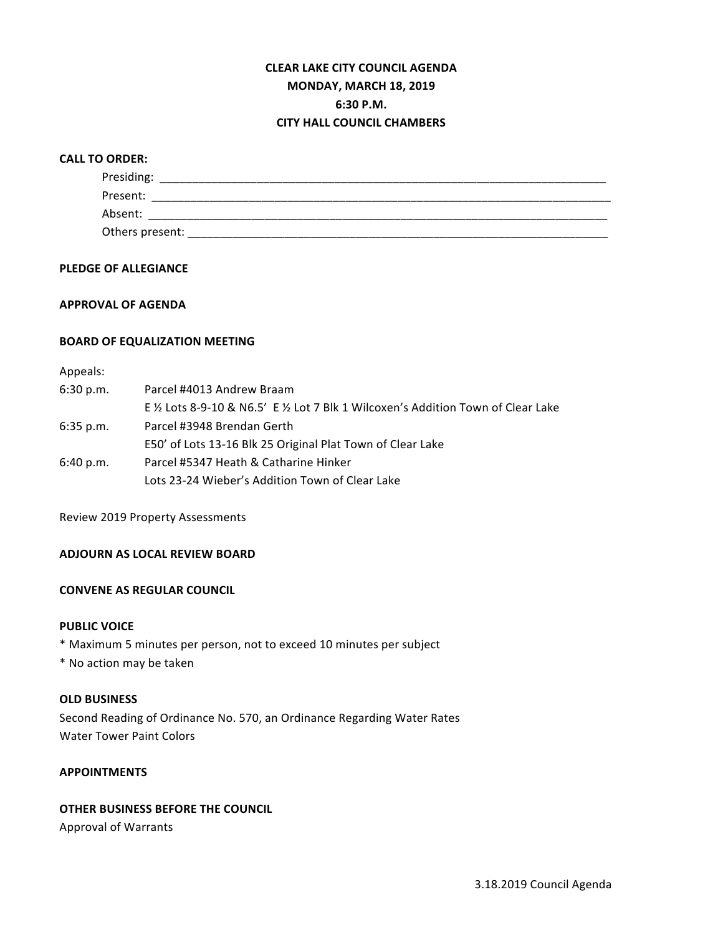# **CLEAR LAKE CITY COUNCIL AGENDA MONDAY, MARCH 18, 2019 6:30 P.M. CITY HALL COUNCIL CHAMBERS**

## **CALL TO ORDER:**

| Presiding:      |  |  |
|-----------------|--|--|
| Present:        |  |  |
| Absent:         |  |  |
| Others present: |  |  |

## **PLEDGE OF ALLEGIANCE**

## **APPROVAL OF AGENDA**

#### **BOARD OF EQUALIZATION MEETING**

# Appeals:

| 6:30 p.m.   | Parcel #4013 Andrew Braam                                                          |  |  |  |
|-------------|------------------------------------------------------------------------------------|--|--|--|
|             | E 1/2 Lots 8-9-10 & N6.5' E 1/2 Lot 7 Blk 1 Wilcoxen's Addition Town of Clear Lake |  |  |  |
| $6:35$ p.m. | Parcel #3948 Brendan Gerth                                                         |  |  |  |
|             | E50' of Lots 13-16 Blk 25 Original Plat Town of Clear Lake                         |  |  |  |
| 6:40 p.m.   | Parcel #5347 Heath & Catharine Hinker                                              |  |  |  |
|             | Lots 23-24 Wieber's Addition Town of Clear Lake                                    |  |  |  |

Review 2019 Property Assessments

## **ADJOURN AS LOCAL REVIEW BOARD**

# **CONVENE AS REGULAR COUNCIL**

#### **PUBLIC VOICE**

\* Maximum 5 minutes per person, not to exceed 10 minutes per subject

\* No action may be taken

#### **OLD BUSINESS**

Second Reading of Ordinance No. 570, an Ordinance Regarding Water Rates Water Tower Paint Colors

## **APPOINTMENTS**

# **OTHER BUSINESS BEFORE THE COUNCIL**

Approval of Warrants